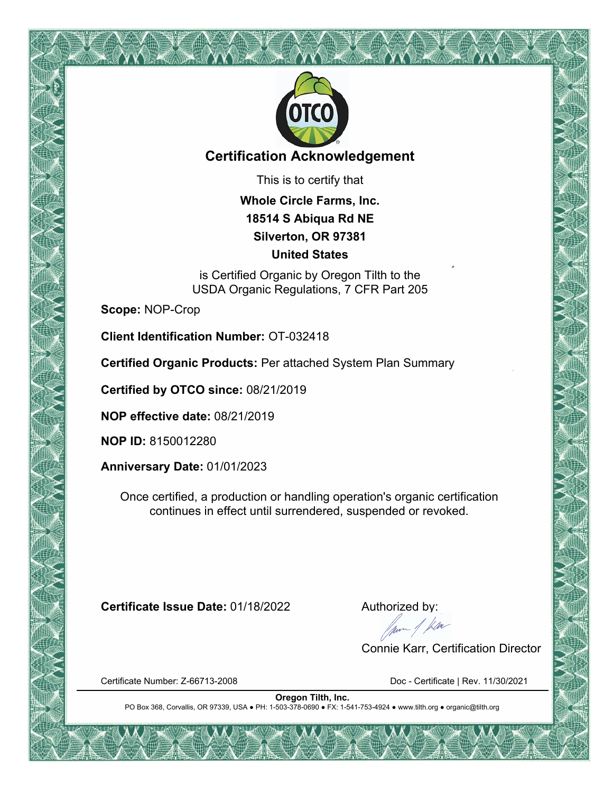

# **Certification Acknowledgement**

This is to certify that

**Whole Circle Farms, Inc. 18514 S Abiqua Rd NE Silverton, OR 97381 United States**

is Certified Organic by Oregon Tilth to the USDA Organic Regulations, 7 CFR Part 205

**Scope:** NOP-Crop

**Client Identification Number:** OT-032418

**Certified Organic Products:** Per attached System Plan Summary

**Certified by OTCO since:** 08/21/2019

**NOP effective date:** 08/21/2019

**NOP ID:** 8150012280

**Anniversary Date:** 01/01/2023

Once certified, a production or handling operation's organic certification continues in effect until surrendered, suspended or revoked.

**Certificate Issue Date:** 01/18/2022 Authorized by:<br>Authorized by:<br>Alternative data by:

Connie Karr, Certification Director

Certificate Number: Z-66713-2008 Doc - Certificate | Rev. 11/30/2021

**Oregon Tilth, Inc.** PO Box 368, Corvallis, OR 97339, USA ● PH: 1-503-378-0690 ● FX: 1-541-753-4924 ● www.tilth.org ● organic@tilth.org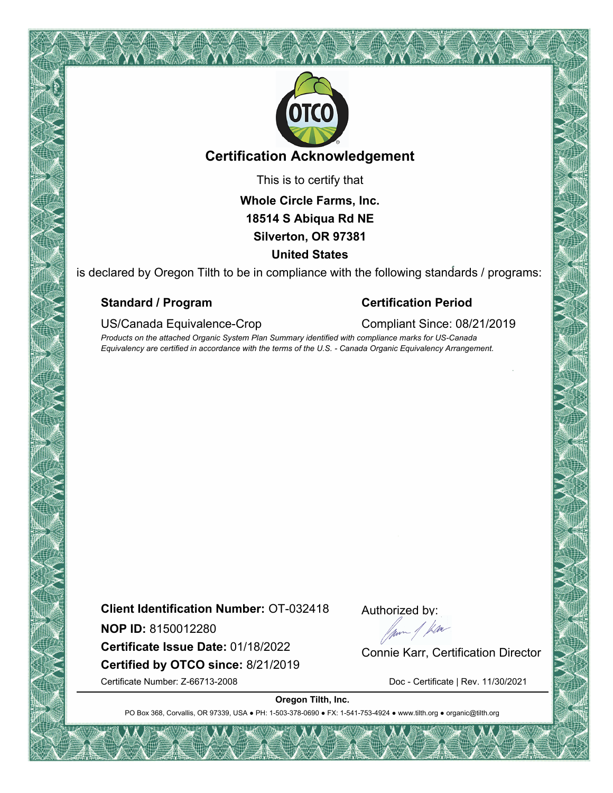

# **Certification Acknowledgement**

This is to certify that

**Whole Circle Farms, Inc. 18514 S Abiqua Rd NE Silverton, OR 97381 United States**

is declared by Oregon Tilth to be in compliance with the following standards / programs:

#### **Standard / Program Certification Period**

US/Canada Equivalence-Crop Compliant Since: 08/21/2019

*Products on the attached Organic System Plan Summary identified with compliance marks for US-Canada Equivalency are certified in accordance with the terms of the U.S. - Canada Organic Equivalency Arrangement.*

**Client Identification Number:** OT-032418

**NOP ID:** 8150012280

**Certified by OTCO since:** 8/21/2019 **NOP ID:** 8150012280<br> **Certificate Issue Date:** 01/18/2022 Connie Karr, Certification Director

Authorized by:

Certificate Number: Z-66713-2008 Doc - Certificate | Rev. 11/30/2021

**Oregon Tilth, Inc.**

PO Box 368, Corvallis, OR 97339, USA . PH: 1-503-378-0690 · FX: 1-541-753-4924 · www.tilth.org · organic@tilth.org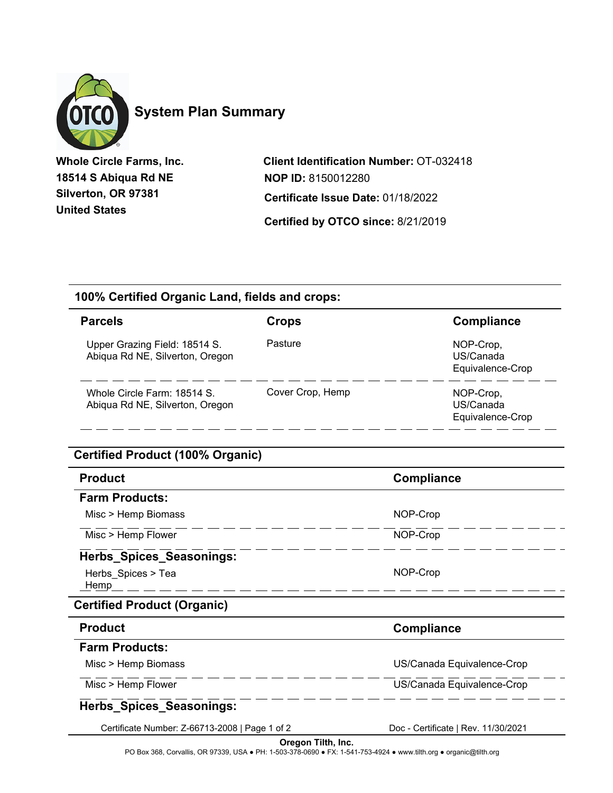

# **System Plan Summary**

**Whole Circle Farms, Inc. 18514 S Abiqua Rd NE Silverton, OR 97381 United States**

**Client Identification Number:** OT-032418 **Certified by OTCO since:** 8/21/2019 **Certificate Issue Date:** 01/18/2022 **NOP ID:** 8150012280

### **100% Certified Organic Land, fields and crops:**

| <b>Parcels</b>                                                   | Crops            | Compliance                                 |
|------------------------------------------------------------------|------------------|--------------------------------------------|
| Upper Grazing Field: 18514 S.<br>Abiqua Rd NE, Silverton, Oregon | Pasture          | NOP-Crop,<br>US/Canada<br>Equivalence-Crop |
| Whole Circle Farm: 18514 S.<br>Abiqua Rd NE, Silverton, Oregon   | Cover Crop, Hemp | NOP-Crop,<br>US/Canada<br>Equivalence-Crop |

### **Certified Product (100% Organic)**

| <b>Product</b>                                 | <b>Compliance</b>                   |
|------------------------------------------------|-------------------------------------|
| <b>Farm Products:</b>                          |                                     |
| Misc > Hemp Biomass                            | NOP-Crop                            |
| Misc > Hemp Flower                             | NOP-Crop                            |
| <b>Herbs_Spices_Seasonings:</b>                |                                     |
| Herbs_Spices > Tea<br>Hemp                     | NOP-Crop                            |
| <b>Certified Product (Organic)</b>             |                                     |
| <b>Product</b>                                 | <b>Compliance</b>                   |
| <b>Farm Products:</b>                          |                                     |
| Misc > Hemp Biomass                            | US/Canada Equivalence-Crop          |
| Misc > Hemp Flower                             | US/Canada Equivalence-Crop          |
| Herbs_Spices_Seasonings:                       |                                     |
| Certificate Number: Z-66713-2008   Page 1 of 2 | Doc - Certificate   Rev. 11/30/2021 |

PO Box 368, Corvallis, OR 97339, USA ● PH: 1-503-378-0690 ● FX: 1-541-753-4924 ● www.tilth.org ● organic@tilth.org **Oregon Tilth, Inc.**